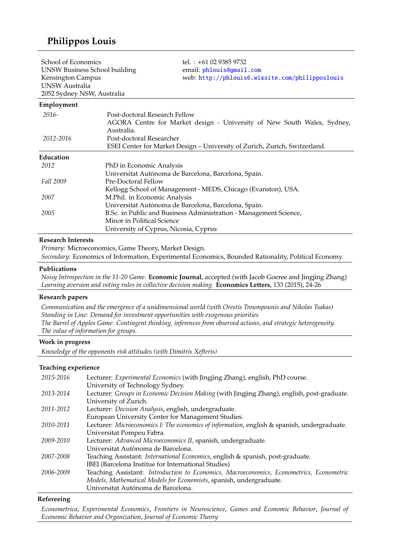# **Philippos Louis**

| School of Economics<br><b>UNSW Business School building</b><br>Kensington Campus<br>UNSW Australia<br>2052 Sydney NSW, Australia |                                       | tel.: $+61$ 02 9385 9732<br>email: phlouis@gmail.com<br>web: http://phlouis6.wixsite.com/philipposlouis |
|----------------------------------------------------------------------------------------------------------------------------------|---------------------------------------|---------------------------------------------------------------------------------------------------------|
| Employment                                                                                                                       |                                       |                                                                                                         |
| 2016-                                                                                                                            | Post-doctoral Research Fellow         |                                                                                                         |
|                                                                                                                                  |                                       | AGORA Centre for Market design - University of New South Wales, Sydney,                                 |
|                                                                                                                                  | Australia.                            |                                                                                                         |
| 2012-2016                                                                                                                        | Post-doctoral Researcher              |                                                                                                         |
|                                                                                                                                  |                                       | ESEI Center for Market Design - University of Zurich, Zurich, Switzerland.                              |
| Education                                                                                                                        |                                       |                                                                                                         |
| 2012                                                                                                                             | PhD in Economic Analysis              |                                                                                                         |
|                                                                                                                                  |                                       | Universitat Autònoma de Barcelona, Barcelona, Spain.                                                    |
| Fall 2009                                                                                                                        | Pre-Doctoral Fellow                   |                                                                                                         |
|                                                                                                                                  |                                       | Kellogg School of Management - MEDS, Chicago (Evanston), USA.                                           |
| 2007                                                                                                                             | M.Phil. in Economic Analysis          |                                                                                                         |
|                                                                                                                                  |                                       | Universitat Autònoma de Barcelona, Barcelona, Spain.                                                    |
| 2005                                                                                                                             |                                       | B.Sc. in Public and Business Administration - Management Science,                                       |
|                                                                                                                                  | Minor in Political Science            |                                                                                                         |
|                                                                                                                                  | University of Cyprus, Nicosia, Cyprus |                                                                                                         |

## **Research Interests**

*Primary:* Microeconomics, Game Theory, Market Design. *Secondary:* Economics of Information, Experimental Economics, Bounded Rationality, Political Economy.

# **Publications**

*Noisy Introspection in the 11-20 Game.* **Economic Journal**, accepted (with Jacob Goeree and Jingjing Zhang) *Learning aversion and voting rules in collective decision making.* **Economics Letters**, 133 (2015), 24-26

#### **Research papers**

*Communication and the emergence of a unidimensional world (with Orestis Troumpounis and Nikolas Tsakas) Standing in Line: Demand for investment opportunities with exogenous priorities The Barrel of Apples Game: Contingent thinking, inferences from observed actions, and strategic heterogeneity. The value of information for groups.*

## **Work in progress**

*Knowledge of the opponents risk attitudes (with Dimitris Xefteris)*

## **Teaching experience**

| Lecturer: Experimental Economics (with Jingjing Zhang), english, PhD course.                |
|---------------------------------------------------------------------------------------------|
| University of Technology Sydney.                                                            |
| Lecturer: Groups in Economic Decision Making (with Jingjing Zhang), english, post-graduate. |
| University of Zurich.                                                                       |
| Lecturer: Decision Analysis, english, undergraduate.                                        |
| European University Center for Management Studies.                                          |
| Lecturer: Microeconomics I: The economics of information, english & spanish, undergraduate. |
| Universitat Pompeu Fabra.                                                                   |
| Lecturer: Advanced Microeconomics II, spanish, undergraduate.                               |
| Universitat Autònoma de Barcelona.                                                          |
| Teaching Assistant: International Economics, english & spanish, post-graduate.              |
| IBEI (Barcelona Institue for International Studies)                                         |
| Teaching Assistant: Introduction to Economics, Macroeconomics, Econometrics, Econometric    |
| Models, Mathematical Models for Economists, spanish, undergraduate.                         |
| Universitat Autònoma de Barcelona.                                                          |
|                                                                                             |

#### **Refereeing**

*Econometrica*, *Experimental Economics*, *Frontiers in Neuroscience*, *Games and Economic Behavior*, *Journal of Economic Behavior and Organization*, *Journal of Economic Theory*